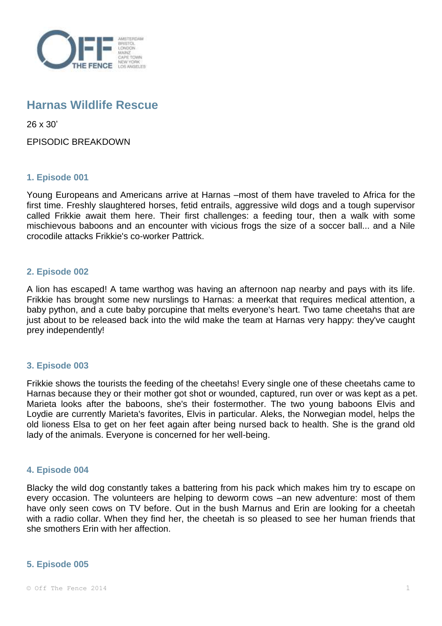

# **Harnas Wildlife Rescue**

26 x 30'

EPISODIC BREAKDOWN

# **1. Episode 001**

Young Europeans and Americans arrive at Harnas –most of them have traveled to Africa for the first time. Freshly slaughtered horses, fetid entrails, aggressive wild dogs and a tough supervisor called Frikkie await them here. Their first challenges: a feeding tour, then a walk with some mischievous baboons and an encounter with vicious frogs the size of a soccer ball... and a Nile crocodile attacks Frikkie's co-worker Pattrick.

# **2. Episode 002**

A lion has escaped! A tame warthog was having an afternoon nap nearby and pays with its life. Frikkie has brought some new nurslings to Harnas: a meerkat that requires medical attention, a baby python, and a cute baby porcupine that melts everyone's heart. Two tame cheetahs that are just about to be released back into the wild make the team at Harnas very happy: they've caught prey independently!

# **3. Episode 003**

Frikkie shows the tourists the feeding of the cheetahs! Every single one of these cheetahs came to Harnas because they or their mother got shot or wounded, captured, run over or was kept as a pet. Marieta looks after the baboons, she's their fostermother. The two young baboons Elvis and Loydie are currently Marieta's favorites, Elvis in particular. Aleks, the Norwegian model, helps the old lioness Elsa to get on her feet again after being nursed back to health. She is the grand old lady of the animals. Everyone is concerned for her well-being.

# **4. Episode 004**

Blacky the wild dog constantly takes a battering from his pack which makes him try to escape on every occasion. The volunteers are helping to deworm cows –an new adventure: most of them have only seen cows on TV before. Out in the bush Marnus and Erin are looking for a cheetah with a radio collar. When they find her, the cheetah is so pleased to see her human friends that she smothers Erin with her affection.

# **5. Episode 005**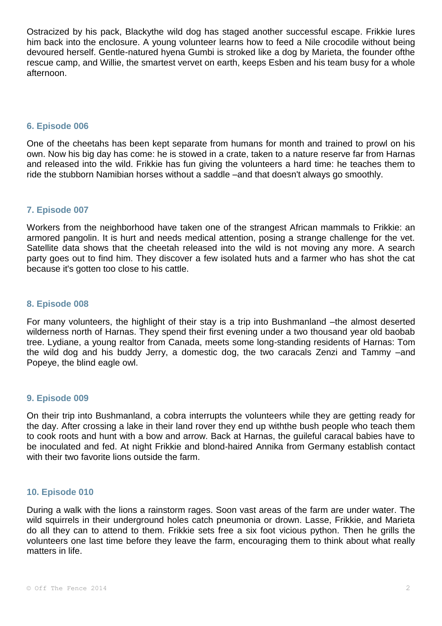Ostracized by his pack, Blackythe wild dog has staged another successful escape. Frikkie lures him back into the enclosure. A young volunteer learns how to feed a Nile crocodile without being devoured herself. Gentle-natured hyena Gumbi is stroked like a dog by Marieta, the founder ofthe rescue camp, and Willie, the smartest vervet on earth, keeps Esben and his team busy for a whole afternoon.

## **6. Episode 006**

One of the cheetahs has been kept separate from humans for month and trained to prowl on his own. Now his big day has come: he is stowed in a crate, taken to a nature reserve far from Harnas and released into the wild. Frikkie has fun giving the volunteers a hard time: he teaches them to ride the stubborn Namibian horses without a saddle –and that doesn't always go smoothly.

# **7. Episode 007**

Workers from the neighborhood have taken one of the strangest African mammals to Frikkie: an armored pangolin. It is hurt and needs medical attention, posing a strange challenge for the vet. Satellite data shows that the cheetah released into the wild is not moving any more. A search party goes out to find him. They discover a few isolated huts and a farmer who has shot the cat because it's gotten too close to his cattle.

## **8. Episode 008**

For many volunteers, the highlight of their stay is a trip into Bushmanland –the almost deserted wilderness north of Harnas. They spend their first evening under a two thousand year old baobab tree. Lydiane, a young realtor from Canada, meets some long-standing residents of Harnas: Tom the wild dog and his buddy Jerry, a domestic dog, the two caracals Zenzi and Tammy –and Popeye, the blind eagle owl.

#### **9. Episode 009**

On their trip into Bushmanland, a cobra interrupts the volunteers while they are getting ready for the day. After crossing a lake in their land rover they end up withthe bush people who teach them to cook roots and hunt with a bow and arrow. Back at Harnas, the guileful caracal babies have to be inoculated and fed. At night Frikkie and blond-haired Annika from Germany establish contact with their two favorite lions outside the farm.

## **10. Episode 010**

During a walk with the lions a rainstorm rages. Soon vast areas of the farm are under water. The wild squirrels in their underground holes catch pneumonia or drown. Lasse, Frikkie, and Marieta do all they can to attend to them. Frikkie sets free a six foot vicious python. Then he grills the volunteers one last time before they leave the farm, encouraging them to think about what really matters in life.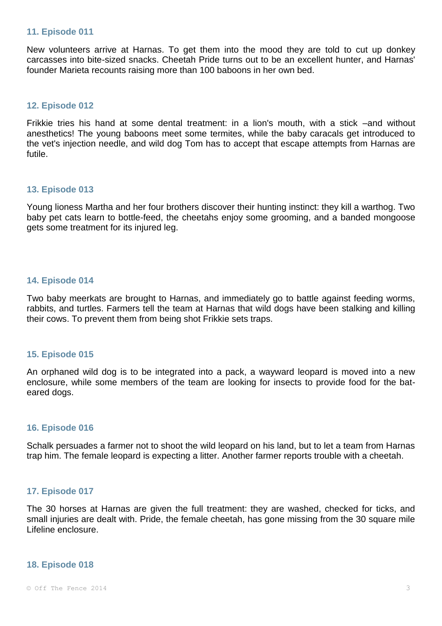#### **11. Episode 011**

New volunteers arrive at Harnas. To get them into the mood they are told to cut up donkey carcasses into bite-sized snacks. Cheetah Pride turns out to be an excellent hunter, and Harnas' founder Marieta recounts raising more than 100 baboons in her own bed.

## **12. Episode 012**

Frikkie tries his hand at some dental treatment: in a lion's mouth, with a stick –and without anesthetics! The young baboons meet some termites, while the baby caracals get introduced to the vet's injection needle, and wild dog Tom has to accept that escape attempts from Harnas are futile.

#### **13. Episode 013**

Young lioness Martha and her four brothers discover their hunting instinct: they kill a warthog. Two baby pet cats learn to bottle-feed, the cheetahs enjoy some grooming, and a banded mongoose gets some treatment for its injured leg.

## **14. Episode 014**

Two baby meerkats are brought to Harnas, and immediately go to battle against feeding worms, rabbits, and turtles. Farmers tell the team at Harnas that wild dogs have been stalking and killing their cows. To prevent them from being shot Frikkie sets traps.

#### **15. Episode 015**

An orphaned wild dog is to be integrated into a pack, a wayward leopard is moved into a new enclosure, while some members of the team are looking for insects to provide food for the bateared dogs.

# **16. Episode 016**

Schalk persuades a farmer not to shoot the wild leopard on his land, but to let a team from Harnas trap him. The female leopard is expecting a litter. Another farmer reports trouble with a cheetah.

# **17. Episode 017**

The 30 horses at Harnas are given the full treatment: they are washed, checked for ticks, and small injuries are dealt with. Pride, the female cheetah, has gone missing from the 30 square mile Lifeline enclosure.

#### **18. Episode 018**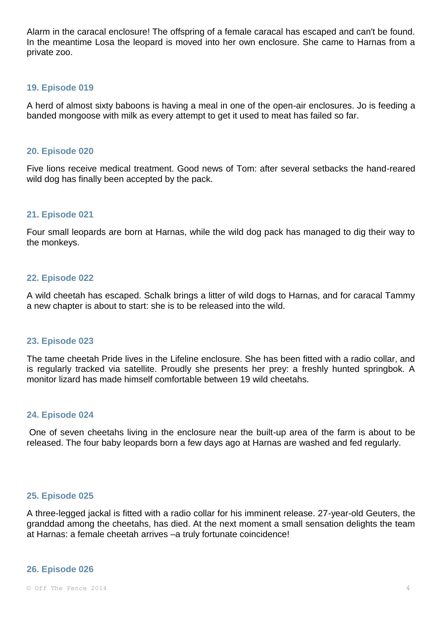Alarm in the caracal enclosure! The offspring of a female caracal has escaped and can't be found. In the meantime Losa the leopard is moved into her own enclosure. She came to Harnas from a private zoo.

## **19. Episode 019**

A herd of almost sixty baboons is having a meal in one of the open-air enclosures. Jo is feeding a banded mongoose with milk as every attempt to get it used to meat has failed so far.

#### **20. Episode 020**

Five lions receive medical treatment. Good news of Tom: after several setbacks the hand-reared wild dog has finally been accepted by the pack.

## **21. Episode 021**

Four small leopards are born at Harnas, while the wild dog pack has managed to dig their way to the monkeys.

## **22. Episode 022**

A wild cheetah has escaped. Schalk brings a litter of wild dogs to Harnas, and for caracal Tammy a new chapter is about to start: she is to be released into the wild.

#### **23. Episode 023**

The tame cheetah Pride lives in the Lifeline enclosure. She has been fitted with a radio collar, and is regularly tracked via satellite. Proudly she presents her prey: a freshly hunted springbok. A monitor lizard has made himself comfortable between 19 wild cheetahs.

#### **24. Episode 024**

One of seven cheetahs living in the enclosure near the built-up area of the farm is about to be released. The four baby leopards born a few days ago at Harnas are washed and fed regularly.

## **25. Episode 025**

A three-legged jackal is fitted with a radio collar for his imminent release. 27-year-old Geuters, the granddad among the cheetahs, has died. At the next moment a small sensation delights the team at Harnas: a female cheetah arrives –a truly fortunate coincidence!

#### **26. Episode 026**